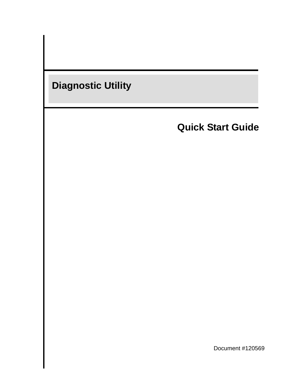

**Quick Start Guide**

Document #120569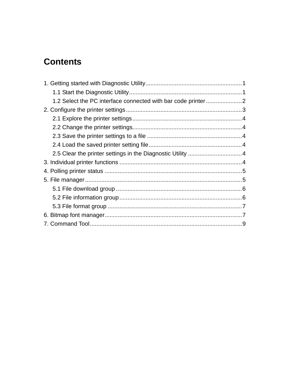# **Contents**

| 1.2 Select the PC interface connected with bar code printer |  |
|-------------------------------------------------------------|--|
|                                                             |  |
|                                                             |  |
|                                                             |  |
|                                                             |  |
|                                                             |  |
|                                                             |  |
|                                                             |  |
|                                                             |  |
|                                                             |  |
|                                                             |  |
|                                                             |  |
|                                                             |  |
|                                                             |  |
|                                                             |  |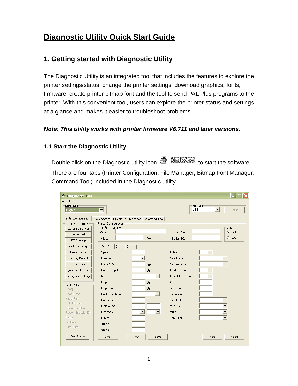# **Diagnostic Utility Quick Start Guide**

### **1. Getting started with Diagnostic Utility**

The Diagnostic Utility is an integrated tool that includes the features to explore the printer settings/status, change the printer settings, download graphics, fonts, firmware, create printer bitmap font and the tool to send PAL Plus programs to the printer. With this convenient tool, users can explore the printer status and settings at a glance and makes it easier to troubleshoot problems.

#### *Note: This utility works with printer firmware V6.711 and later versions.*

#### **1.1 Start the Diagnostic Utility**

Double click on the Diagnostic utility icon **S** Diagloolex to start the software. There are four tabs (Printer Configuration, File Manager, Bitmap Font Manager, Command Tool) included in the Diagnostic utility.

| <sup>2</sup> Diagnostic Tool   |                                                   |                          |                            |                              |
|--------------------------------|---------------------------------------------------|--------------------------|----------------------------|------------------------------|
| About                          |                                                   |                          |                            |                              |
| Language<br>English            | $\overline{\phantom{0}}$                          |                          | Interface<br><b>USB</b>    | $\vert \cdot \vert$<br>Setup |
| <b>Printer Configuration</b>   | File Manager   Bitmap Font Manager   Command Tool |                          |                            |                              |
| <b>Printer Function</b>        | Printer Configuration                             |                          |                            |                              |
| Calibrate Sensor               | Printer Infomation                                |                          | Check Sum                  | Unit                         |
| <b>Ethernet Setup</b>          | Version                                           |                          |                            | $\bullet$ inch               |
| RTC Setup                      | Milage                                            | K <sub>m</sub>           | Serial NO.                 | $C$ mm                       |
| Print Test Page                | TSPL/E<br>$\overline{z}$<br>D                     |                          |                            |                              |
| <b>Reset Printer</b>           | Speed                                             |                          | <b>Ribbon</b>              | $\blacktriangledown$         |
| <b>Factory Default</b>         | Density                                           |                          | Code Page                  |                              |
| Dump Text                      | Paper Width                                       | Unit                     | Country Code               |                              |
| Ignore AUTO.BAS                | Paper Height                                      | Unit                     | Head-up Sensor             |                              |
| Configuration Page             | Media Sensor                                      | $\overline{\phantom{a}}$ | <b>Reprint After Error</b> |                              |
|                                | Gap                                               | Unit                     | Gap Inten.                 |                              |
| <b>Printer Status</b><br>Ready | Gap Offset                                        | Unit                     | Bline Inten.               |                              |
| Head Open                      | Post-Print Action                                 | ▼                        | Continuous Inten.          |                              |
| Paper Jam                      | Cut Piece                                         |                          | <b>Baud Rate</b>           |                              |
| Out of Paper                   | Reference                                         |                          | Data Bits                  |                              |
| Ribbon End Err.                | Direction                                         |                          | Parity                     |                              |
| Ribbon Encoder Err.            |                                                   |                          |                            |                              |
| Pause<br>Printting             | Offset                                            |                          | Stop Bit[s]                |                              |
| Other Error                    | Shift X                                           |                          |                            |                              |
|                                | Shift Y                                           |                          |                            |                              |
| <b>Get Status</b>              | Clear                                             | Save<br>Load             |                            | Set<br>Read                  |
|                                |                                                   |                          |                            |                              |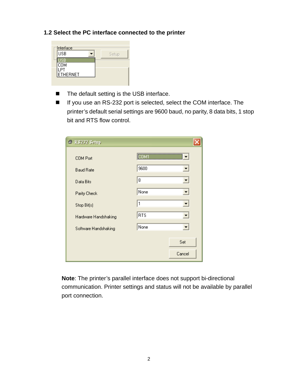#### **1.2 Select the PC interface connected to the printer**

| Interface  |       |
|------------|-------|
| <b>USB</b> | Setup |
| <b>COM</b> |       |
| ETHERNET   |       |
|            |       |

- The default setting is the USB interface.
- If you use an RS-232 port is selected, select the COM interface. The printer's default serial settings are 9600 baud, no parity, 8 data bits, 1 stop bit and RTS flow control.

| RS232 Setup<br>O.    |            |
|----------------------|------------|
| <b>COM Port</b>      |            |
| <b>Baud Rate</b>     | 9600       |
| Data Bits            | 8          |
| Parity Check         | None       |
| Stop Bit(s)          | 1<br>▼     |
| Hardware Handshaking | <b>RTS</b> |
| Software Handshaking | None<br>▼  |
|                      | Set        |
|                      | Cancel     |

**Note**: The printer's parallel interface does not support bi-directional communication. Printer settings and status will not be available by parallel port connection.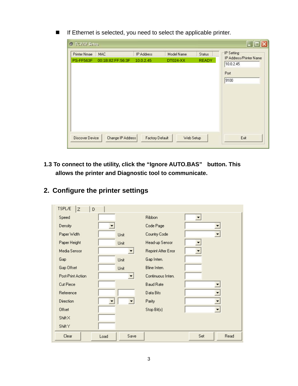■ If Ethernet is selected, you need to select the applicable printer.

| <b>Printer Nmae</b> | <b>MAC</b>        | IP Address             | Model Name      | <b>Status</b> | IP Setting                                           |
|---------------------|-------------------|------------------------|-----------------|---------------|------------------------------------------------------|
| PS-FF563F           | 00:1B:82:FF:56:3F | 10.0.2.45              | <b>DT024-XX</b> | <b>READY</b>  | IP Address/Printer Name<br>10.0.2.45<br>Port<br>9100 |
| Discover Device     | Change IP Address | <b>Factory Default</b> | Web Setup       |               | Exit                                                 |

**1.3 To connect to the utility, click the "Ignore AUTO.BAS" button. This allows the printer and Diagnostic tool to communicate.** 

| TSPL/E<br>$\overline{z}$<br>D |              |                     |     |                          |
|-------------------------------|--------------|---------------------|-----|--------------------------|
| Speed                         |              | Ribbon              |     |                          |
| Density                       |              | Code Page           |     | ▼                        |
| Paper Width                   | Unit         | Country Code        |     | $\overline{\phantom{a}}$ |
| Paper Height                  | Unit         | Head-up Sensor      |     |                          |
| Media Sensor                  |              | Reprint After Error |     |                          |
| Gap                           | Unit         | Gap Inten.          |     |                          |
| Gap Offset                    | Unit         | Bline Inten.        |     |                          |
| Post-Print Action             |              | Continuous Inten.   |     |                          |
| Cut Piece                     |              | <b>Baud Rate</b>    |     |                          |
| Reference                     |              | Data Bits           |     | ▼                        |
| Direction                     |              | Parity              |     | ÷                        |
| Offset                        |              | Stop Bit(s)         |     | $\blacktriangledown$     |
| ShiftX                        |              |                     |     |                          |
| Shift Y                       |              |                     |     |                          |
| Clear                         | Save<br>Load |                     | Set | Read                     |

# **2. Configure the printer settings**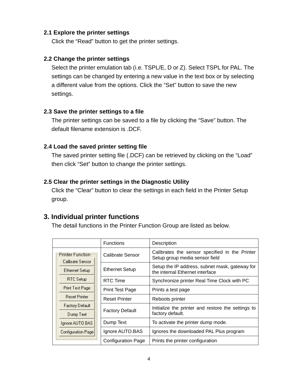#### **2.1 Explore the printer settings**

Click the "Read" button to get the printer settings.

#### **2.2 Change the printer settings**

Select the printer emulation tab (i.e. TSPL/E, D or Z). Select TSPL for PAL. The settings can be changed by entering a new value in the text box or by selecting a different value from the options. Click the "Set" button to save the new settings.

#### **2.3 Save the printer settings to a file**

The printer settings can be saved to a file by clicking the "Save" button. The default filename extension is .DCF.

#### **2.4 Load the saved printer setting file**

The saved printer setting file (.DCF) can be retrieved by clicking on the "Load" then click "Set" button to change the printer settings.

#### **2.5 Clear the printer settings in the Diagnostic Utility**

Click the "Clear" button to clear the settings in each field in the Printer Setup group.

### **3. Individual printer functions**

The detail functions in the Printer Function Group are listed as below.

|                                       | <b>Functions</b>          | Description                                                                       |
|---------------------------------------|---------------------------|-----------------------------------------------------------------------------------|
| Printer Function-<br>Calibrate Sensor | Calibrate Sensor          | Calibrates the sensor specified in the Printer<br>Setup group media sensor field  |
| Ethernet Setup                        | <b>Ethernet Setup</b>     | Setup the IP address, subnet mask, gateway for<br>the internal Ethernet interface |
| RTC Setup                             | RTC Time                  | Synchronize printer Real Time Clock with PC                                       |
| Print Test Page                       | <b>Print Test Page</b>    | Prints a test page                                                                |
| <b>Reset Printer</b>                  | <b>Reset Printer</b>      | Reboots printer                                                                   |
| <b>Factory Default</b><br>Dump Text   | <b>Factory Default</b>    | Initialize the printer and restore the settings to<br>factory default.            |
| Ignore AUTO.BAS                       | Dump Text                 | To activate the printer dump mode.                                                |
| Configuration Page                    | Ignore AUTO.BAS           | Ignores the downloaded PAL Plus program                                           |
|                                       | <b>Configuration Page</b> | Prints the printer configuration                                                  |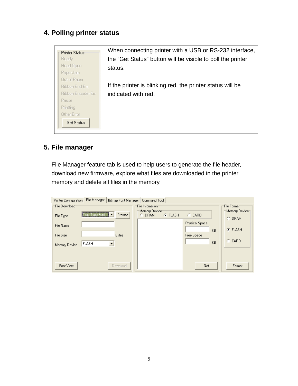# **4. Polling printer status**

| <b>Printer Status</b> | When connecting printer with a USB or RS-232 interface,     |
|-----------------------|-------------------------------------------------------------|
| Ready                 | the "Get Status" button will be visible to poll the printer |
| Head Open             | status.                                                     |
| Paper Jam             |                                                             |
| Out of Paper          |                                                             |
| Ribbon End Err.       | If the printer is blinking red, the printer status will be  |
| Ribbon Encoder Err.   | indicated with red.                                         |
| Pause                 |                                                             |
| Printting             |                                                             |
| Other Error           |                                                             |
| <b>Get Status</b>     |                                                             |
|                       |                                                             |

# **5. File manager**

File Manager feature tab is used to help users to generate the file header, download new firmware, explore what files are downloaded in the printer memory and delete all files in the memory.

| <b>Printer Configuration</b>                         | File Manager            | Bitmap Font Manager   Command Tool |                                     |                |                                            |          |                                                   |
|------------------------------------------------------|-------------------------|------------------------------------|-------------------------------------|----------------|--------------------------------------------|----------|---------------------------------------------------|
| File Download                                        |                         |                                    | File Infomation                     |                |                                            |          | File Format                                       |
| File Type<br>File Name<br>File Size<br>Memory Device | True Type Font<br>FLASH | <b>Browse</b><br><b>Bytes</b>      | Memory Devicet<br><b>DRAM</b><br>C. | <b>G</b> FLASH | CARD<br>О.<br>Physical Space<br>Free Space | KB<br>KB | Memory Device⊤<br>C DRAM<br>$F$ FLASH<br>$C$ CARD |
| Font View                                            |                         | Download                           |                                     |                | Get                                        |          | Format                                            |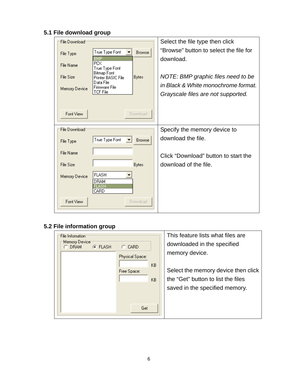# **5.1 File download group**

| File Download |                                                   | Select the file type then click                    |
|---------------|---------------------------------------------------|----------------------------------------------------|
| File Type     | True Type Font<br><b>Browse</b>                   | "Browse" button to select the file for             |
| File Name     | BMP<br>РCX<br>True Type Font                      | download.                                          |
| File Size     | Bitmap Font<br><b>Bytes</b><br>Printer BASIC File | NOTE: BMP graphic files need to be                 |
| Memory Device | Data File.<br>Firmware File                       | in Black & White monochrome format.                |
|               | <b>TCF File</b>                                   | Grayscale files are not supported.                 |
|               |                                                   |                                                    |
| Font View     | Download                                          |                                                    |
|               |                                                   |                                                    |
| File Download |                                                   |                                                    |
|               | True Type Font<br><b>Browse</b>                   | Specify the memory device to<br>download the file. |
| File Type     |                                                   |                                                    |
| File Name     |                                                   | Click "Download" button to start the               |
| File Size     | <b>Bytes</b>                                      | download of the file.                              |
| Memory Device | <b>FLASH</b>                                      |                                                    |
|               | DRAM<br>FLASH                                     |                                                    |
| Font View     | CARD<br>Download                                  |                                                    |

# **5.2 File information group**

| File Infomation:<br>Memory Devicet |                                | This feature lists what files are<br>downloaded in the specified                                            |
|------------------------------------|--------------------------------|-------------------------------------------------------------------------------------------------------------|
| $G$ FLASH<br><b>DRAM</b>           | <b>CARD</b><br>Physical Space: | memory device.                                                                                              |
|                                    | KB.<br>Free Space:<br>KB.      | Select the memory device then click<br>the "Get" button to list the files<br>saved in the specified memory. |
|                                    | Get                            |                                                                                                             |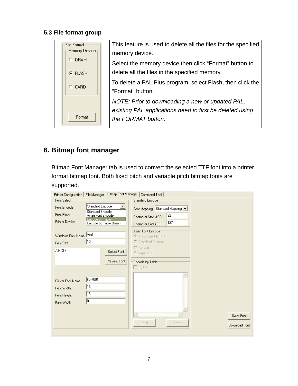#### **5.3 File format group**

# **6. Bitmap font manager**

Bitmap Font Manager tab is used to convert the selected TTF font into a printer format bitmap font. Both fixed pitch and variable pitch bitmap fonts are supported.

| Printer Configuration   File Manager<br>Font Select <sup>-</sup><br>Font Encode<br>Font Picth<br><b>Printer Device</b> | <b>Standard Encode</b><br><b>Standard Encode</b><br>Asian Font Encode<br>Encode by Table<br>Encode by Table (Asian) | Bitmap Font Manager   Command Tool  <br>Standard Encode <sup>-</sup><br>Font Mapping Standard Mapping<br>32<br>Character Start ASCII<br>127<br>Character End ASCII |                            |
|------------------------------------------------------------------------------------------------------------------------|---------------------------------------------------------------------------------------------------------------------|--------------------------------------------------------------------------------------------------------------------------------------------------------------------|----------------------------|
| Windows Font Name<br>Font Size<br><b>ABCD</b>                                                                          | Arial<br>10<br>Select Font                                                                                          | Asian Font Encode<br><b>C</b> Traditional Chinese<br>C Simplified Chinese<br>$C$ Korean<br>$\cap$ Japanese                                                         |                            |
| <b>Printer Font Name</b><br>Font Width<br>Font Height<br>Italic Width                                                  | Preview Font<br>Font001<br>13<br>16<br>O                                                                            | Encode by Tablet<br>$\Box$ By File<br>$\langle$<br>Load<br>Load                                                                                                    | Save Font<br>Download Font |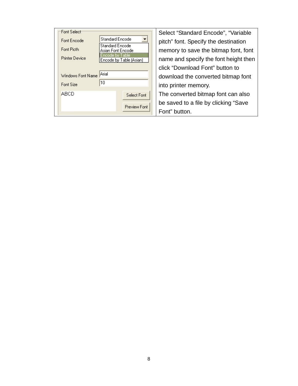| Font Select <sup>-</sup> |                                             | Select "Standard Encode", "Variable   |
|--------------------------|---------------------------------------------|---------------------------------------|
| Font Encode              | <b>Standard Encode</b>                      | pitch" font. Specify the destination  |
| Font Picth               | <b>Standard Encode</b><br>Asian Font Encode | memory to save the bitmap font, font  |
| <b>Printer Device</b>    | Encode by Table<br>Encode by Table (Asian)  | name and specify the font height then |
|                          |                                             | click "Download Font" button to       |
| Windows Font Name        | Arial                                       | download the converted bitmap font    |
| Font Size                | 10                                          | into printer memory.                  |
| ABCD                     | Select Font                                 | The converted bitmap font can also    |
|                          | Preview Font                                | be saved to a file by clicking "Save  |
|                          |                                             | Font" button.                         |